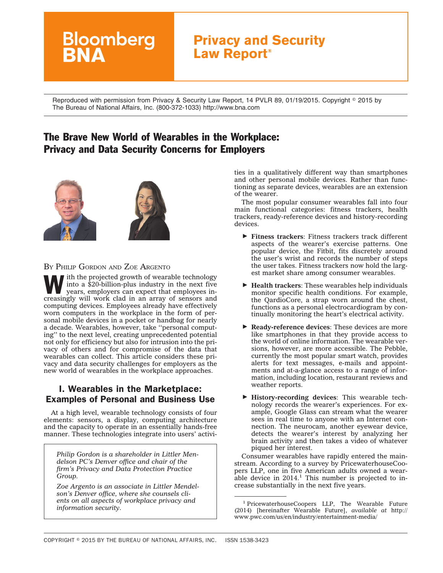# **Bloomberg Privacy and Security Law Report®**

Reproduced with permission from Privacy & Security Law Report, 14 PVLR 89, 01/19/2015. Copyright © 2015 by The Bureau of National Affairs, Inc. (800-372-1033) http://www.bna.com

# The Brave New World of Wearables in the Workplace: Privacy and Data Security Concerns for Employers



BY PHILIP GORDON AND ZOE ARGENTO

W ith the projected growth of wearable technology<br>into a \$20-billion-plus industry in the next five<br>years, employers can expect that employees in-<br>experience will work at in into a \$20-billion-plus industry in the next five creasingly will work clad in an array of sensors and computing devices. Employees already have effectively worn computers in the workplace in the form of personal mobile devices in a pocket or handbag for nearly a decade. Wearables, however, take ''personal computing'' to the next level, creating unprecedented potential not only for efficiency but also for intrusion into the privacy of others and for compromise of the data that wearables can collect. This article considers these privacy and data security challenges for employers as the new world of wearables in the workplace approaches.

# I. Wearables in the Marketplace: Examples of Personal and Business Use

At a high level, wearable technology consists of four elements: sensors, a display, computing architecture and the capacity to operate in an essentially hands-free manner. These technologies integrate into users' activi-

*Philip Gordon is a shareholder in Littler Mendelson PC's Denver office and chair of the firm's Privacy and Data Protection Practice Group.*

*Zoe Argento is an associate in Littler Mendelson's Denver office, where she counsels clients on all aspects of workplace privacy and information security.*

ties in a qualitatively different way than smartphones and other personal mobile devices. Rather than functioning as separate devices, wearables are an extension of the wearer.

The most popular consumer wearables fall into four main functional categories: fitness trackers, health trackers, ready-reference devices and history-recording devices.

- **Fitness trackers**: Fitness trackers track different aspects of the wearer's exercise patterns. One popular device, the Fitbit, fits discretely around the user's wrist and records the number of steps the user takes. Fitness trackers now hold the largest market share among consumer wearables.
- **Health trackers**: These wearables help individuals monitor specific health conditions. For example, the QardioCore, a strap worn around the chest, functions as a personal electrocardiogram by continually monitoring the heart's electrical activity.
- **Ready-reference devices**: These devices are more like smartphones in that they provide access to the world of online information. The wearable versions, however, are more accessible. The Pebble, currently the most popular smart watch, provides alerts for text messages, e-mails and appointments and at-a-glance access to a range of information, including location, restaurant reviews and weather reports.
- **History-recording devices**: This wearable technology records the wearer's experiences. For example, Google Glass can stream what the wearer sees in real time to anyone with an Internet connection. The neurocam, another eyewear device, detects the wearer's interest by analyzing her brain activity and then takes a video of whatever piqued her interest.

Consumer wearables have rapidly entered the mainstream. According to a survey by PricewaterhouseCoopers LLP, one in five American adults owned a wearable device in  $2014<sup>1</sup>$ . This number is projected to increase substantially in the next five years.

<sup>1</sup> PricewaterhouseCoopers LLP, The Wearable Future (2014) [hereinafter Wearable Future], *available at* [http://](http://www.pwc.com/us/en/industry/entertainment-media/publications/consumer-intelligence-series/assets/PWC-CIS-Wearable-future.pdf) [www.pwc.com/us/en/industry/entertainment-media/](http://www.pwc.com/us/en/industry/entertainment-media/publications/consumer-intelligence-series/assets/PWC-CIS-Wearable-future.pdf)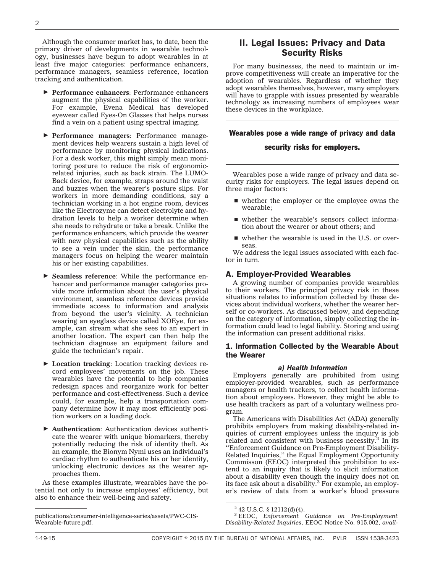Although the consumer market has, to date, been the primary driver of developments in wearable technology, businesses have begun to adopt wearables in at least five major categories: performance enhancers, performance managers, seamless reference, location tracking and authentication.

- **Performance enhancers**: Performance enhancers augment the physical capabilities of the worker. For example, Evena Medical has developed eyewear called Eyes-On Glasses that helps nurses find a vein on a patient using spectral imaging.
- **Performance managers**: Performance management devices help wearers sustain a high level of performance by monitoring physical indications. For a desk worker, this might simply mean monitoring posture to reduce the risk of ergonomicrelated injuries, such as back strain. The LUMO-Back device, for example, straps around the waist and buzzes when the wearer's posture slips. For workers in more demanding conditions, say a technician working in a hot engine room, devices like the Electrozyme can detect electrolyte and hydration levels to help a worker determine when she needs to rehydrate or take a break. Unlike the performance enhancers, which provide the wearer with new physical capabilities such as the ability to see a vein under the skin, the performance managers focus on helping the wearer maintain his or her existing capabilities.
- **Seamless reference**: While the performance enhancer and performance manager categories provide more information about the user's physical environment, seamless reference devices provide immediate access to information and analysis from beyond the user's vicinity. A technician wearing an eyeglass device called XOEye, for example, can stream what she sees to an expert in another location. The expert can then help the technician diagnose an equipment failure and guide the technician's repair.
- **Location tracking**: Location tracking devices record employees' movements on the job. These wearables have the potential to help companies redesign spaces and reorganize work for better performance and cost-effectiveness. Such a device could, for example, help a transportation company determine how it may most efficiently position workers on a loading dock.
- **Authentication**: Authentication devices authenticate the wearer with unique biomarkers, thereby potentially reducing the risk of identity theft. As an example, the Bionym Nymi uses an individual's cardiac rhythm to authenticate his or her identity, unlocking electronic devices as the wearer approaches them.

As these examples illustrate, wearables have the potential not only to increase employees' efficiency, but also to enhance their well-being and safety.

### II. Legal Issues: Privacy and Data Security Risks

For many businesses, the need to maintain or improve competitiveness will create an imperative for the adoption of wearables. Regardless of whether they adopt wearables themselves, however, many employers will have to grapple with issues presented by wearable technology as increasing numbers of employees wear these devices in the workplace.

#### Wearables pose a wide range of privacy and data

#### security risks for employers.

Wearables pose a wide range of privacy and data security risks for employers. The legal issues depend on three major factors:

- $\blacksquare$  whether the employer or the employee owns the wearable;
- $\blacksquare$  whether the wearable's sensors collect information about the wearer or about others; and
- $\blacksquare$  whether the wearable is used in the U.S. or overseas.

We address the legal issues associated with each factor in turn.

#### A. Employer-Provided Wearables

A growing number of companies provide wearables to their workers. The principal privacy risk in these situations relates to information collected by these devices about individual workers, whether the wearer herself or co-workers. As discussed below, and depending on the category of information, simply collecting the information could lead to legal liability. Storing and using the information can present additional risks.

#### 1. Information Collected by the Wearable About the Wearer

#### *a) Health Information*

Employers generally are prohibited from using employer-provided wearables, such as performance managers or health trackers, to collect health information about employees. However, they might be able to use health trackers as part of a voluntary wellness program.

The Americans with Disabilities Act (ADA) generally prohibits employers from making disability-related inquiries of current employees unless the inquiry is job related and consistent with business necessity.<sup>2</sup> In its ''Enforcement Guidance on Pre-Employment Disability-Related Inquiries,'' the Equal Employment Opportunity Commisson (EEOC) interpreted this prohibition to extend to an inquiry that is likely to elicit information about a disability even though the inquiry does not on its face ask about a disability.<sup>3</sup> For example, an employer's review of data from a worker's blood pressure

<sup>3</sup> EEOC, *Enforcement Guidance on Pre-Employment Disability-Related Inquiries*, EEOC Notice No. 915.002, *avail-*

[publications/consumer-intelligence-series/assets/PWC-CIS-](http://www.pwc.com/us/en/industry/entertainment-media/publications/consumer-intelligence-series/assets/PWC-CIS-Wearable-future.pdf)[Wearable-future.pdf.](http://www.pwc.com/us/en/industry/entertainment-media/publications/consumer-intelligence-series/assets/PWC-CIS-Wearable-future.pdf)

<sup>2</sup> 42 U.S.C. § 12112(d)(4).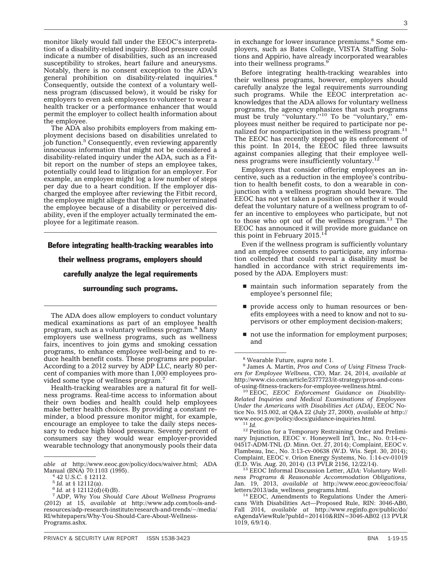monitor likely would fall under the EEOC's interpretation of a disability-related inquiry. Blood pressure could indicate a number of disabilities, such as an increased susceptibility to strokes, heart failure and aneurysms. Notably, there is no consent exception to the ADA's general prohibition on disability-related inquiries.4 Consequently, outside the context of a voluntary wellness program (discussed below), it would be risky for employers to even ask employees to volunteer to wear a health tracker or a performance enhancer that would permit the employer to collect health information about the employee.

The ADA also prohibits employers from making employment decisions based on disabilities unrelated to job function.5 Consequently, even reviewing apparently innocuous information that might not be considered a disability-related inquiry under the ADA, such as a Fitbit report on the number of steps an employee takes, potentially could lead to litigation for an employer. For example, an employee might log a low number of steps per day due to a heart condition. If the employer discharged the employee after reviewing the Fitbit record, the employee might allege that the employer terminated the employee because of a disability or perceived disability, even if the employer actually terminated the employee for a legitimate reason.

#### Before integrating health-tracking wearables into

#### their wellness programs, employers should

#### carefully analyze the legal requirements

#### surrounding such programs.

The ADA does allow employers to conduct voluntary medical examinations as part of an employee health program, such as a voluntary wellness program.6 Many employers use wellness programs, such as wellness fairs, incentives to join gyms and smoking cessation programs, to enhance employee well-being and to reduce health benefit costs. These programs are popular. According to a 2012 survey by ADP LLC, nearly 80 percent of companies with more than 1,000 employees provided some type of wellness program.<sup>7</sup>

Health-tracking wearables are a natural fit for wellness programs. Real-time access to information about their own bodies and health could help employees make better health choices. By providing a constant reminder, a blood pressure monitor might, for example, encourage an employee to take the daily steps necessary to reduce high blood pressure. Seventy percent of consumers say they would wear employer-provided wearable technology that anonymously pools their data

in exchange for lower insurance premiums.<sup>8</sup> Some employers, such as Bates College, VISTA Staffing Solutions and Appirio, have already incorporated wearables into their wellness programs.9

Before integrating health-tracking wearables into their wellness programs, however, employers should carefully analyze the legal requirements surrounding such programs. While the EEOC interpretation acknowledges that the ADA allows for voluntary wellness programs, the agency emphasizes that such programs must be truly "voluntary."<sup>10</sup> To be "voluntary," employees must neither be required to participate nor penalized for nonparticipation in the wellness program.<sup>11</sup> The EEOC has recently stepped up its enforcement of this point. In 2014, the EEOC filed three lawsuits against companies alleging that their employee wellness programs were insufficiently voluntary.<sup>12</sup>

Employers that consider offering employees an incentive, such as a reduction in the employee's contribution to health benefit costs, to don a wearable in conjunction with a wellness program should beware. The EEOC has not yet taken a position on whether it would defeat the voluntary nature of a wellness program to offer an incentive to employees who participate, but not to those who opt out of the wellness program.<sup>13</sup> The EEOC has announced it will provide more guidance on this point in February 2015.<sup>14</sup>

Even if the wellness program is sufficiently voluntary and an employee consents to participate, any information collected that could reveal a disability must be handled in accordance with strict requirements imposed by the ADA. Employers must:

- $\blacksquare$  maintain such information separately from the employee's personnel file;
- **peropene** provide access only to human resources or benefits employees with a need to know and not to supervisors or other employment decision-makers;
- $\blacksquare$  not use the information for employment purposes; and

*Related Inquiries and Medical Examinations of Employees Under the Americans with Disabilities Act (ADA)*, EEOC Notice No. 915.002, at Q&A 22 (July 27, 2000), *available at* [http://](http://www.eeoc.gov/policy/docs/guidance-inquiries.html)

ww.eeoc.gov/policy/docs/guidance-inquiries.html<br><sup>12</sup> Petition for a Temporary Restraining Order and Preliminary Injunction, EEOC v. Honeywell Int'l, Inc., No. 0:14-cv-04517-ADM-TNL (D. Minn. Oct. 27, 2014); Complaint, EEOC v. Flambeau, Inc., No. 3:13-cv-00638 (W.D. Wis. Sept. 30, 2014); Complaint, EEOC v. Orion Energy Systems, No. 1:14-cv-01019 (E.D. Wis. Aug. 20, 2014) (13 PVLR 2156, 12/22/14).

<sup>13</sup> EEOC Informal Discussion Letter, *ADA: Voluntary Wellness Programs & Reasonable Accommodation Obligations*, Jan. 19, 2013, *available at* [http://www.eeoc.gov/eeoc/foia/](http://www.eeoc.gov/eeoc/foia/letters/2013/ada_wellness_programs.html)

 $14$  EEOC, Amendments to Regulations Under the Americans With Disabilities Act—Proposed Rule, RIN: 3046-AB0, Fall 2014, *available at* [http://www.reginfo.gov/public/do/](http://www.reginfo.gov/public/do/eAgendaViewRule?pubId=201410&RIN=3046-AB02) [eAgendaViewRule?pubId=201410&RIN=3046-AB02](http://www.reginfo.gov/public/do/eAgendaViewRule?pubId=201410&RIN=3046-AB02) (13 PVLR 1019, 6/9/14).

*able at* [http://www.eeoc.gov/policy/docs/waiver.html;](http://www.eeoc.gov/policy/docs/waiver.html) ADA Manual (BNA) 70:1103 (1995).<br>
<sup>4</sup> 42 U.S.C. § 12112.<br>
<sup>5</sup> *Id.* at § 12112(a).

<sup>&</sup>lt;sup>6</sup> *Id.* at § 12112(d)(4)(B).<br><sup>7</sup> ADP, *Why You Should Care About Wellness Programs* (2012) at 15, *available at* [http://www.adp.com/tools-and](http://www.adp.com/tools-and-resources/adp-research-institute/research-and-trends/~/media/RI/whitepapers/Why-You-Should-Care-About-Wellness-Programs.ashx)[resources/adp-research-institute/research-and-trends/~/media/](http://www.adp.com/tools-and-resources/adp-research-institute/research-and-trends/~/media/RI/whitepapers/Why-You-Should-Care-About-Wellness-Programs.ashx) [RI/whitepapers/Why-You-Should-Care-About-Wellness-](http://www.adp.com/tools-and-resources/adp-research-institute/research-and-trends/~/media/RI/whitepapers/Why-You-Should-Care-About-Wellness-Programs.ashx)[Programs.ashx.](http://www.adp.com/tools-and-resources/adp-research-institute/research-and-trends/~/media/RI/whitepapers/Why-You-Should-Care-About-Wellness-Programs.ashx)

<sup>&</sup>lt;sup>8</sup> Wearable Future, *supra* note 1.<br><sup>9</sup> James A. Martin, *Pros and Cons of Using Fitness Trackers for Employee Wellness*, CIO, Mar. 24, 2014, *available at* [http://www.cio.com/article/2377723/it-strategy/pros-and-cons](http://www.cio.com/article/2377723/it-strategy/pros-and-cons-of-using-fitness-trackers-for-employee-wellness.html)[of-using-fitness-trackers-for-employee-wellness.html.](http://www.cio.com/article/2377723/it-strategy/pros-and-cons-of-using-fitness-trackers-for-employee-wellness.html) <sup>10</sup> EEOC, *EEOC Enforcement Guidance on Disability-*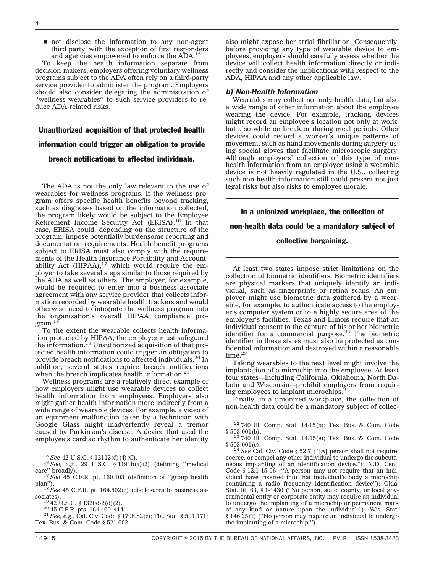$\blacksquare$  not disclose the information to any non-agent third party, with the exception of first responders and agencies empowered to enforce the ADA.15

To keep the health information separate from decision-makers, employers offering voluntary wellness programs subject to the ADA often rely on a third-party service provider to administer the program. Employers should also consider delegating the administration of ''wellness wearables'' to such service providers to reduce ADA-related risks.

Unauthorized acquisition of that protected health information could trigger an obligation to provide breach notifications to affected individuals.

The ADA is not the only law relevant to the use of wearables for wellness programs. If the wellness program offers specific health benefits beyond tracking, such as diagnoses based on the information collected, the program likely would be subject to the Employee Retirement Income Security Act (ERISA).16 In that case, ERISA could, depending on the structure of the program, impose potentially burdensome reporting and documentation requirements. Health benefit programs subject to ERISA must also comply with the requirements of the Health Insurance Portability and Accountability Act (HIPAA), $17$  which would require the employer to take several steps similar to those required by the ADA as well as others. The employer, for example, would be required to enter into a business associate agreement with any service provider that collects information recorded by wearable health trackers and would otherwise need to integrate the wellness program into the organization's overall HIPAA compliance pro $gram.<sup>18</sup>$ 

To the extent the wearable collects health information protected by HIPAA, the employer must safeguard the information.<sup>19</sup> Unauthorized acquisition of that protected health information could trigger an obligation to provide breach notifications to affected individuals.20 In addition, several states require breach notifications when the breach implicates health information. $^{21}$ 

Wellness programs are a relatively direct example of how employers might use wearable devices to collect health information from employees. Employers also might gather health information more indirectly from a wide range of wearable devices. For example, a video of an equipment malfunction taken by a technician with Google Glass might inadvertently reveal a tremor caused by Parkinson's disease. A device that used the employee's cardiac rhythm to authenticate her identity

also might expose her atrial fibrillation. Consequently, before providing any type of wearable device to employees, employers should carefully assess whether the device will collect health information directly or indirectly and consider the implications with respect to the ADA, HIPAA and any other applicable law.

#### *b) Non-Health Information*

Wearables may collect not only health data, but also a wide range of other information about the employee wearing the device. For example, tracking devices might record an employee's location not only at work, but also while on break or during meal periods. Other devices could record a worker's unique patterns of movement, such as hand movements during surgery using special gloves that facilitate microscopic surgery. Although employers' collection of this type of nonhealth information from an employee using a wearable device is not heavily regulated in the U.S., collecting such non-health information still could present not just legal risks but also risks to employee morale.

In a unionized workplace, the collection of non-health data could be a mandatory subject of collective bargaining.

At least two states impose strict limitations on the collection of biometric identifiers. Biometric identifiers are physical markers that uniquely identify an individual, such as fingerprints or retina scans. An employer might use biometric data gathered by a wearable, for example, to authenticate access to the employer's computer system or to a highly secure area of the employer's facilities. Texas and Illinois require that an individual consent to the capture of his or her biometric identifier for a commercial purpose. $22$  The biometric identifier in these states must also be protected as confidential information and destroyed within a reasonable time. $23$ 

Taking wearables to the next level might involve the implantation of a microchip into the employee. At least four states—including California, Oklahoma, North Dakota and Wisconsin—prohibit employers from requiring employees to implant microchips.<sup>24</sup>

Finally, in a unionized workplace, the collection of non-health data could be a mandatory subject of collec-

<sup>&</sup>lt;sup>15</sup> *See* 42 U.S.C. § 12112(d)(4)(C).<br><sup>16</sup> *See, e.g.*, 29 U.S.C. § 1191b(a)(2) (defining "medical care" broadly).

<sup>&</sup>lt;sup>17</sup> See 45 C.F.R. pt. 160.103 (definition of "group health"

plan'').<br><sup>18</sup> *See* 45 C.F.R. pt. 164.502(e) (disclosures to business associates).

<sup>19 42</sup> U.S.C. § 1320d-2(d)(2).<br><sup>20</sup> 45 C.F.R. pts. 164.400–414.<br><sup>21</sup> *See, e.g.*, Cal. Civ. Code § 1798.82(e); Fla. Stat. § 501.171; Tex. Bus. & Com. Code § 521.002.

 $^{22}$  740 Ill. Comp. Stat. 14/15(b); Tex. Bus. & Com. Code § 503.001(b).

 $\frac{23}{23}$  740 Ill. Comp. Stat. 14/15(e); Tex. Bus. & Com. Code § 503.001(c).

<sup>&</sup>lt;sup>24</sup> See Cal. Civ. Code § 52.7 ("[A] person shall not require, coerce, or compel any other individual to undergo the subcutaneous implanting of an identification device.''); N.D. Cent. Code § 12.1-15-06 (''A person may not require that an individual have inserted into that individual's body a microchip containing a radio frequency identification device''); Okla. Stat. tit. 63, § 1-1430 ("No person, state, county, or local governmental entity or corporate entity may require an individual to undergo the implanting of a microchip or permanent mark of any kind or nature upon the individual.''); Wis. Stat. § 146.25(1) (''No person may require an individual to undergo the implanting of a microchip.'').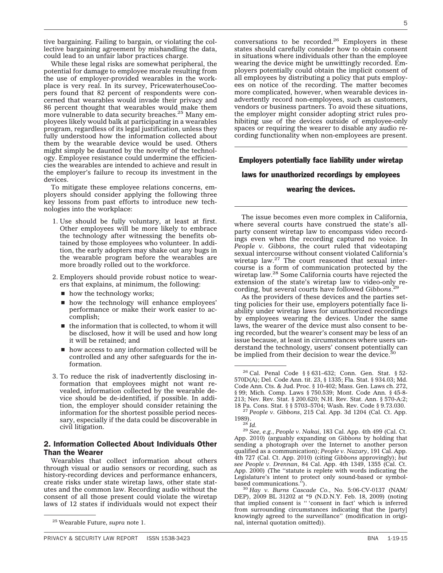tive bargaining. Failing to bargain, or violating the collective bargaining agreement by mishandling the data, could lead to an unfair labor practices charge.

While these legal risks are somewhat peripheral, the potential for damage to employee morale resulting from the use of employer-provided wearables in the workplace is very real. In its survey, PricewaterhouseCoopers found that 82 percent of respondents were concerned that wearables would invade their privacy and 86 percent thought that wearables would make them more vulnerable to data security breaches.<sup>25</sup> Many employees likely would balk at participating in a wearables program, regardless of its legal justification, unless they fully understood how the information collected about them by the wearable device would be used. Others might simply be daunted by the novelty of the technology. Employee resistance could undermine the efficiencies the wearables are intended to achieve and result in the employer's failure to recoup its investment in the devices.

To mitigate these employee relations concerns, employers should consider applying the following three key lessons from past efforts to introduce new technologies into the workplace:

- 1. Use should be fully voluntary, at least at first. Other employees will be more likely to embrace the technology after witnessing the benefits obtained by those employees who volunteer. In addition, the early adopters may shake out any bugs in the wearable program before the wearables are more broadly rolled out to the workforce.
- 2. Employers should provide robust notice to wearers that explains, at minimum, the following:
	- $\blacksquare$  how the technology works;
	- $\blacksquare$  how the technology will enhance employees' performance or make their work easier to accomplish;
	- $\blacksquare$  the information that is collected, to whom it will be disclosed, how it will be used and how long it will be retained; and
	- $\blacksquare$  how access to any information collected will be controlled and any other safeguards for the information.
- 3. To reduce the risk of inadvertently disclosing information that employees might not want revealed, information collected by the wearable device should be de-identified, if possible. In addition, the employer should consider retaining the information for the shortest possible period necessary, especially if the data could be discoverable in civil litigation.

#### 2. Information Collected About Individuals Other Than the Wearer

Wearables that collect information about others through visual or audio sensors or recording, such as history-recording devices and performance enhancers, create risks under state wiretap laws, other state statutes and the common law. Recording audio without the consent of all those present could violate the wiretap laws of 12 states if individuals would not expect their

conversations to be recorded. $26$  Employers in these states should carefully consider how to obtain consent in situations where individuals other than the employee wearing the device might be unwittingly recorded. Employers potentially could obtain the implicit consent of all employees by distributing a policy that puts employees on notice of the recording. The matter becomes more complicated, however, when wearable devices inadvertently record non-employees, such as customers, vendors or business partners. To avoid these situations, the employer might consider adopting strict rules prohibiting use of the devices outside of employee-only spaces or requiring the wearer to disable any audio recording functionality when non-employees are present.

#### Employers potentially face liability under wiretap

#### laws for unauthorized recordings by employees

#### wearing the devices.

The issue becomes even more complex in California, where several courts have construed the state's allparty consent wiretap law to encompass video recordings even when the recording captured no voice. In *People v. Gibbons*, the court ruled that videotaping sexual intercourse without consent violated California's wiretap law.<sup>27</sup> The court reasoned that sexual intercourse is a form of communication protected by the wiretap law.<sup>28</sup> Some California courts have rejected the extension of the state's wiretap law to video-only recording, but several courts have followed *Gibbons*. 29

As the providers of these devices and the parties setting policies for their use, employers potentially face liability under wiretap laws for unauthorized recordings by employees wearing the devices. Under the same laws, the wearer of the device must also consent to being recorded, but the wearer's consent may be less of an issue because, at least in circumstances where users understand the technology, users' consent potentially can be implied from their decision to wear the device.<sup>30</sup>

<sup>30</sup> Hay v. Burns Cascade Co., No. 5:06-CV-0137 (NAM/ DEP), 2009 BL 31202 at \*9 (N.D.N.Y. Feb. 18, 2009) (noting that implied consent is '' 'consent in fact' which is inferred from surrounding circumstances indicating that the [party] knowingly agreed to the surveillance'' (modification in original, internal quotation omitted)).

<sup>25</sup> Wearable Future, *supra* note 1.

<sup>26</sup> Cal. Penal Code § § 631–632; Conn. Gen. Stat. § 52- 570D(A); Del. Code Ann. tit. 23, § 1335; Fla. Stat. § 934.03; Md. Code Ann. Cts. & Jud. Proc. § 10-402; Mass. Gen. Laws ch. 272, § 99; Mich. Comp. Laws § 750.539; Mont. Code Ann. § 45-8- 213; Nev. Rev. Stat. § 200.620; N.H. Rev. Stat. Ann. § 570-A:2;

<sup>&</sup>lt;sup>27</sup> People v. Gibbons, 215 Cal. App. 3d 1204 (Cal. Ct. App. 1989).

<sup>1989).</sup> <sup>28</sup> *Id.* <sup>29</sup> *See, e.g.*, *People v. Nakai*, 183 Cal. App. 4th 499 (Cal. Ct. App. 2010) (arguably expanding on *Gibbons* by holding that sending a photograph over the Internet to another person qualified as a communication); *People v. Nazary*, 191 Cal. App. 4th 727 (Cal. Ct. App. 2010) (citing *Gibbons* approvingly); *but see People v. Drennan*, 84 Cal. App. 4th 1349, 1355 (Cal. Ct. App. 2000) (The ''statute is replete with words indicating the Legislature's intent to protect only sound-based or symbol-based communications.").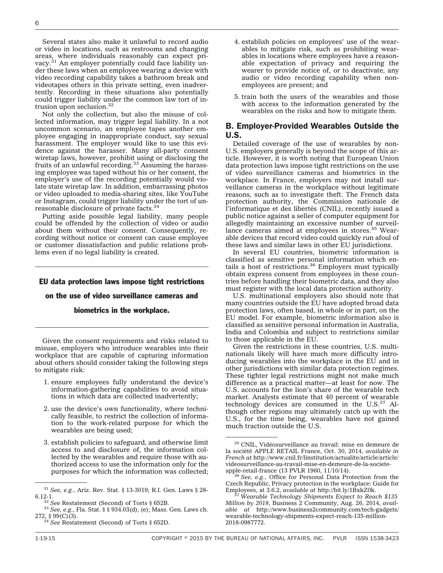Several states also make it unlawful to record audio or video in locations, such as restrooms and changing areas, where individuals reasonably can expect privacy.<sup>31</sup> An employer potentially could face liability under these laws when an employee wearing a device with video recording capability takes a bathroom break and videotapes others in this private setting, even inadvertently. Recording in these situations also potentially could trigger liability under the common law tort of intrusion upon seclusion.32

Not only the collection, but also the misuse of collected information, may trigger legal liability. In a not uncommon scenario, an employee tapes another employee engaging in inappropriate conduct, say sexual harassment. The employer would like to use this evidence against the harasser. Many all-party consent wiretap laws, however, prohibit using or disclosing the fruits of an unlawful recording.<sup>33</sup> Assuming the harassing employee was taped without his or her consent, the employer's use of the recording potentially would violate state wiretap law. In addition, embarrassing photos or video uploaded to media-sharing sites, like YouTube or Instagram, could trigger liability under the tort of unreasonable disclosure of private facts.34

Putting aside possible legal liability, many people could be offended by the collection of video or audio about them without their consent. Consequently, recording without notice or consent can cause employee or customer dissatisfaction and public relations problems even if no legal liability is created.

# EU data protection laws impose tight restrictions

#### on the use of video surveillance cameras and

#### biometrics in the workplace.

Given the consent requirements and risks related to misuse, employers who introduce wearables into their workplace that are capable of capturing information about others should consider taking the following steps to mitigate risk:

- 1. ensure employees fully understand the device's information-gathering capabilities to avoid situations in which data are collected inadvertently;
- 2. use the device's own functionality, where technically feasible, to restrict the collection of information to the work-related purpose for which the wearables are being used;
- 3. establish policies to safeguard, and otherwise limit access to and disclosure of, the information collected by the wearables and require those with authorized access to use the information only for the purposes for which the information was collected;
- 4. establish policies on employees' use of the wearables to mitigate risk, such as prohibiting wearables in locations where employees have a reasonable expectation of privacy and requiring the wearer to provide notice of, or to deactivate, any audio or video recording capability when nonemployees are present; and
- 5. train both the users of the wearables and those with access to the information generated by the wearables on the risks and how to mitigate them.

#### B. Employer-Provided Wearables Outside the U.S.

Detailed coverage of the use of wearables by non-U.S. employers generally is beyond the scope of this article. However, it is worth noting that European Union data protection laws impose tight restrictions on the use of video surveillance cameras and biometrics in the workplace. In France, employers may not install surveillance cameras in the workplace without legitimate reasons, such as to investigate theft. The French data protection authority, the Commission nationale de l'informatique et des libertés (CNIL), recently issued a public notice against a seller of computer equipment for allegedly maintaining an excessive number of surveillance cameras aimed at employees in stores.<sup>35</sup> Wearable devices that record video could quickly run afoul of these laws and similar laws in other EU jurisdictions.

In several EU countries, biometric information is classified as sensitive personal information which entails a host of restrictions.<sup>36</sup> Employers must typically obtain express consent from employees in these countries before handling their biometric data, and they also must register with the local data protection authority.

U.S. multinational employers also should note that many countries outside the EU have adopted broad data protection laws, often based, in whole or in part, on the EU model. For example, biometric information also is classified as sensitive personal information in Australia, India and Colombia and subject to restrictions similar to those applicable in the EU.

Given the restrictions in these countries, U.S. multinationals likely will have much more difficulty introducing wearables into the workplace in the EU and in other jurisdictions with similar data protection regimes. These tighter legal restrictions might not make much difference as a practical matter—at least for now. The U.S. accounts for the lion's share of the wearable tech market. Analysts estimate that 40 percent of wearable technology devices are consumed in the U.S.<sup>37</sup> Although other regions may ultimately catch up with the U.S., for the time being, wearables have not gained much traction outside the U.S.

<sup>31</sup> *See, e.g.*, Ariz. Rev. Stat. § 13-3019; R.I. Gen. Laws § 28-

<sup>6.12-1.</sup> <sup>32</sup> *See* Restatement (Second) of Torts § 652B. <sup>33</sup> *See, e.g.*, Fla. Stat. § § 934.03(d), (e); Mass. Gen. Laws ch. 272, § 99(C)(3). <sup>34</sup> *See* Restatement (Second) of Torts § 652D.

<sup>&</sup>lt;sup>35</sup> CNIL, Vidéosurveillance au travail: mise en demeure de la société APPLE RETAIL France, Oct. 30, 2014, *available in French at* [http://www.cnil.fr/linstitution/actualite/article/article/](http://www.cnil.fr/linstitution/actualite/article/article/videosurveillance-au-travail-mise-en-demeure-de-la-societe-apple-retail-france) [videosurveillance-au-travail-mise-en-demeure-de-la-societe-](http://www.cnil.fr/linstitution/actualite/article/article/videosurveillance-au-travail-mise-en-demeure-de-la-societe-apple-retail-france)

<sup>&</sup>lt;sup>36</sup> See, e.g., Office for Personal Data Protection from the Czech Republic, Privacy protection in the workplace: Guide for

 $^{57}$  Wearable Technology Shipments Expect to Reach \$135 *Million by 2018*, Business 2 Community, Aug. 26, 2014, *available at* [http://www.business2community.com/tech-gadgets/](http://www.business2community.com/tech-gadgets/wearable-technology-shipments-expect-reach-135-million-2018-0987772) [wearable-technology-shipments-expect-reach-135-million-](http://www.business2community.com/tech-gadgets/wearable-technology-shipments-expect-reach-135-million-2018-0987772)[2018-0987772.](http://www.business2community.com/tech-gadgets/wearable-technology-shipments-expect-reach-135-million-2018-0987772)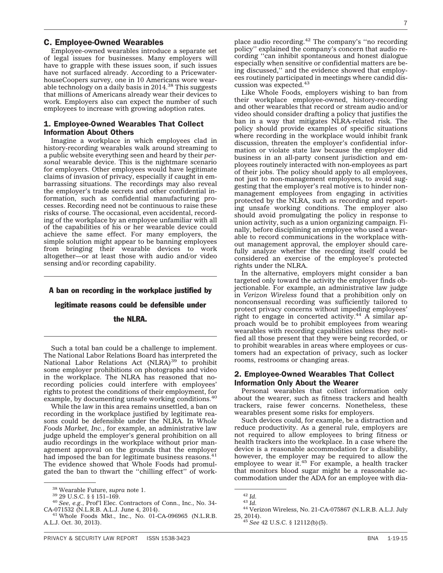#### C. Employee-Owned Wearables

Employee-owned wearables introduce a separate set of legal issues for businesses. Many employers will have to grapple with these issues soon, if such issues have not surfaced already. According to a PricewaterhouseCoopers survey, one in 10 Americans wore wearable technology on a daily basis in  $2014.^{38}$  This suggests that millions of Americans already wear their devices to work. Employers also can expect the number of such employees to increase with growing adoption rates.

#### 1. Employee-Owned Wearables That Collect Information About Others

Imagine a workplace in which employees clad in history-recording wearables walk around streaming to a public website everything seen and heard by their *personal* wearable device. This is the nightmare scenario for employers. Other employees would have legitimate claims of invasion of privacy, especially if caught in embarrassing situations. The recordings may also reveal the employer's trade secrets and other confidential information, such as confidential manufacturing processes. Recording need not be continuous to raise these risks of course. The occasional, even accidental, recording of the workplace by an employee unfamiliar with all of the capabilities of his or her wearable device could achieve the same effect. For many employers, the simple solution might appear to be banning employees from bringing their wearable devices to work altogether—or at least those with audio and/or video sensing and/or recording capability.

# A ban on recording in the workplace justified by legitimate reasons could be defensible under

the NLRA.

Such a total ban could be a challenge to implement. The National Labor Relations Board has interpreted the National Labor Relations Act (NLRA)<sup>39</sup> to prohibit some employer prohibitions on photographs and video in the workplace. The NLRA has reasoned that norecording policies could interfere with employees' rights to protest the conditions of their employment, for example, by documenting unsafe working conditions.<sup>40</sup>

While the law in this area remains unsettled, a ban on recording in the workplace justified by legitimate reasons could be defensible under the NLRA. In *Whole Foods Market, Inc.*, for example, an administrative law judge upheld the employer's general prohibition on all audio recordings in the workplace without prior management approval on the grounds that the employer had imposed the ban for legitimate business reasons.<sup>41</sup> The evidence showed that Whole Foods had promulgated the ban to thwart the ''chilling effect'' of work-

place audio recording.<sup>42</sup> The company's "no recording policy'' explained the company's concern that audio recording ''can inhibit spontaneous and honest dialogue especially when sensitive or confidential matters are being discussed,'' and the evidence showed that employees routinely participated in meetings where candid discussion was expected.43

Like Whole Foods, employers wishing to ban from their workplace employee-owned, history-recording and other wearables that record or stream audio and/or video should consider drafting a policy that justifies the ban in a way that mitigates NLRA-related risk. The policy should provide examples of specific situations where recording in the workplace would inhibit frank discussion, threaten the employer's confidential information or violate state law because the employer did business in an all-party consent jurisdiction and employees routinely interacted with non-employees as part of their jobs. The policy should apply to all employees, not just to non-management employees, to avoid suggesting that the employer's real motive is to hinder nonmanagement employees from engaging in activities protected by the NLRA, such as recording and reporting unsafe working conditions. The employer also should avoid promulgating the policy in response to union activity, such as a union organizing campaign. Finally, before disciplining an employee who used a wearable to record communications in the workplace without management approval, the employer should carefully analyze whether the recording itself could be considered an exercise of the employee's protected rights under the NLRA.

In the alternative, employers might consider a ban targeted only toward the activity the employer finds objectionable. For example, an administrative law judge in *Verizon Wireless* found that a prohibition only on nonconsensual recording was sufficiently tailored to protect privacy concerns without impeding employees' right to engage in concerted activity.<sup>44</sup>  $\overrightarrow{A}$  similar approach would be to prohibit employees from wearing wearables with recording capabilities unless they notified all those present that they were being recorded, or to prohibit wearables in areas where employees or customers had an expectation of privacy, such as locker rooms, restrooms or changing areas.

#### 2. Employee-Owned Wearables That Collect Information Only About the Wearer

Personal wearables that collect information only about the wearer, such as fitness trackers and health trackers, raise fewer concerns. Nonetheless, these wearables present some risks for employers.

Such devices could, for example, be a distraction and reduce productivity. As a general rule, employers are not required to allow employees to bring fitness or health trackers into the workplace. In a case where the device is a reasonable accommodation for a disability, however, the employer may be required to allow the employee to wear it.<sup>45</sup> For example, a health tracker that monitors blood sugar might be a reasonable accommodation under the ADA for an employee with dia-

<sup>&</sup>lt;sup>38</sup> Wearable Future, *supra* note 1.<br><sup>39</sup> 29 U.S.C. § § 151–169.<br><sup>40</sup> *See, e.g.*, Prof'l Elec. Contractors of Conn., Inc., No. 34-<br>CA-071532 (N.L.R.B. A.L.J. June 4, 2014).

 $^{41}$  Whole Foods Mkt., Inc., No. 01-CA-096965 (N.L.R.B. A.L.J. Oct. 30, 2013).

<sup>42</sup> *Id.* <sup>43</sup> *Id.* <sup>44</sup> Verizon Wireless, No. 21-CA-075867 (N.L.R.B. A.L.J. July

<sup>25, 2014).</sup> <sup>45</sup> *See* 42 U.S.C. § 12112(b)(5).